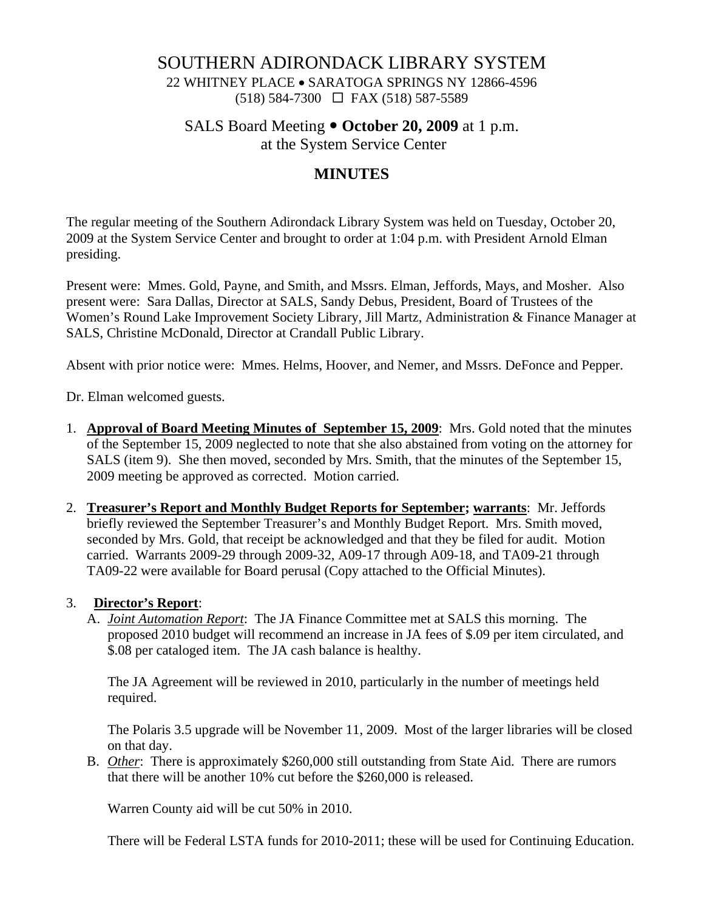## SOUTHERN ADIRONDACK LIBRARY SYSTEM

22 WHITNEY PLACE • SARATOGA SPRINGS NY 12866-4596 (518) 584-7300 FAX (518) 587-5589

SALS Board Meeting  $\bullet$  **October 20, 2009** at 1 p.m.

at the System Service Center

# **MINUTES**

The regular meeting of the Southern Adirondack Library System was held on Tuesday, October 20, 2009 at the System Service Center and brought to order at 1:04 p.m. with President Arnold Elman presiding.

Present were: Mmes. Gold, Payne, and Smith, and Mssrs. Elman, Jeffords, Mays, and Mosher. Also present were: Sara Dallas, Director at SALS, Sandy Debus, President, Board of Trustees of the Women's Round Lake Improvement Society Library, Jill Martz, Administration & Finance Manager at SALS, Christine McDonald, Director at Crandall Public Library.

Absent with prior notice were: Mmes. Helms, Hoover, and Nemer, and Mssrs. DeFonce and Pepper.

Dr. Elman welcomed guests.

- 1. **Approval of Board Meeting Minutes of September 15, 2009**: Mrs. Gold noted that the minutes of the September 15, 2009 neglected to note that she also abstained from voting on the attorney for SALS (item 9). She then moved, seconded by Mrs. Smith, that the minutes of the September 15, 2009 meeting be approved as corrected. Motion carried.
- 2. **Treasurer's Report and Monthly Budget Reports for September; warrants**: Mr. Jeffords briefly reviewed the September Treasurer's and Monthly Budget Report. Mrs. Smith moved, seconded by Mrs. Gold, that receipt be acknowledged and that they be filed for audit. Motion carried. Warrants 2009-29 through 2009-32, A09-17 through A09-18, and TA09-21 through TA09-22 were available for Board perusal (Copy attached to the Official Minutes).

#### 3. **Director's Report**:

A. *Joint Automation Report*: The JA Finance Committee met at SALS this morning. The proposed 2010 budget will recommend an increase in JA fees of \$.09 per item circulated, and \$.08 per cataloged item. The JA cash balance is healthy.

The JA Agreement will be reviewed in 2010, particularly in the number of meetings held required.

The Polaris 3.5 upgrade will be November 11, 2009. Most of the larger libraries will be closed on that day.

B. *Other*: There is approximately \$260,000 still outstanding from State Aid. There are rumors that there will be another 10% cut before the \$260,000 is released.

Warren County aid will be cut 50% in 2010.

There will be Federal LSTA funds for 2010-2011; these will be used for Continuing Education.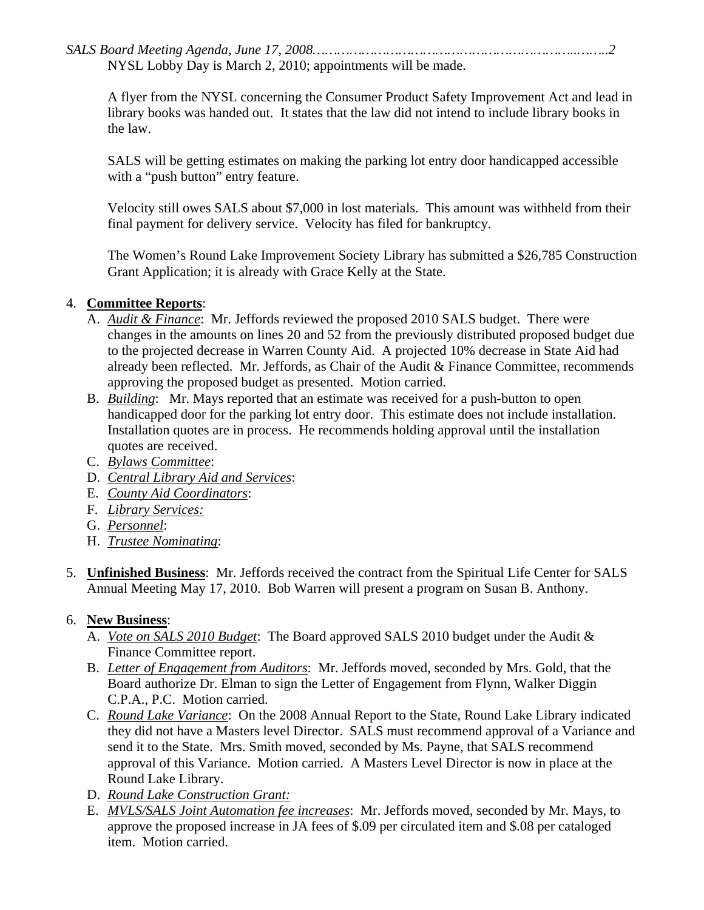*SALS Board Meeting Agenda, June 17, 2008………………………………………………………..……..2*  NYSL Lobby Day is March 2, 2010; appointments will be made.

A flyer from the NYSL concerning the Consumer Product Safety Improvement Act and lead in library books was handed out. It states that the law did not intend to include library books in the law.

SALS will be getting estimates on making the parking lot entry door handicapped accessible with a "push button" entry feature.

Velocity still owes SALS about \$7,000 in lost materials. This amount was withheld from their final payment for delivery service. Velocity has filed for bankruptcy.

The Women's Round Lake Improvement Society Library has submitted a \$26,785 Construction Grant Application; it is already with Grace Kelly at the State.

#### 4. **Committee Reports**:

- A. *Audit & Finance*: Mr. Jeffords reviewed the proposed 2010 SALS budget. There were changes in the amounts on lines 20 and 52 from the previously distributed proposed budget due to the projected decrease in Warren County Aid. A projected 10% decrease in State Aid had already been reflected. Mr. Jeffords, as Chair of the Audit & Finance Committee, recommends approving the proposed budget as presented. Motion carried.
- B. *Building*: Mr. Mays reported that an estimate was received for a push-button to open handicapped door for the parking lot entry door. This estimate does not include installation. Installation quotes are in process. He recommends holding approval until the installation quotes are received.
- C. *Bylaws Committee*:
- D. *Central Library Aid and Services*:
- E. *County Aid Coordinators*:
- F. *Library Services:*
- G. *Personnel*:
- H. *Trustee Nominating*:
- 5. **Unfinished Business**: Mr. Jeffords received the contract from the Spiritual Life Center for SALS Annual Meeting May 17, 2010. Bob Warren will present a program on Susan B. Anthony.

## 6. **New Business**:

- A. *Vote on SALS 2010 Budget*: The Board approved SALS 2010 budget under the Audit & Finance Committee report.
- B. *Letter of Engagement from Auditors*: Mr. Jeffords moved, seconded by Mrs. Gold, that the Board authorize Dr. Elman to sign the Letter of Engagement from Flynn, Walker Diggin C.P.A., P.C. Motion carried.
- C. *Round Lake Variance*: On the 2008 Annual Report to the State, Round Lake Library indicated they did not have a Masters level Director. SALS must recommend approval of a Variance and send it to the State. Mrs. Smith moved, seconded by Ms. Payne, that SALS recommend approval of this Variance. Motion carried. A Masters Level Director is now in place at the Round Lake Library.
- D. *Round Lake Construction Grant:*
- E. *MVLS/SALS Joint Automation fee increases*: Mr. Jeffords moved, seconded by Mr. Mays, to approve the proposed increase in JA fees of \$.09 per circulated item and \$.08 per cataloged item. Motion carried.